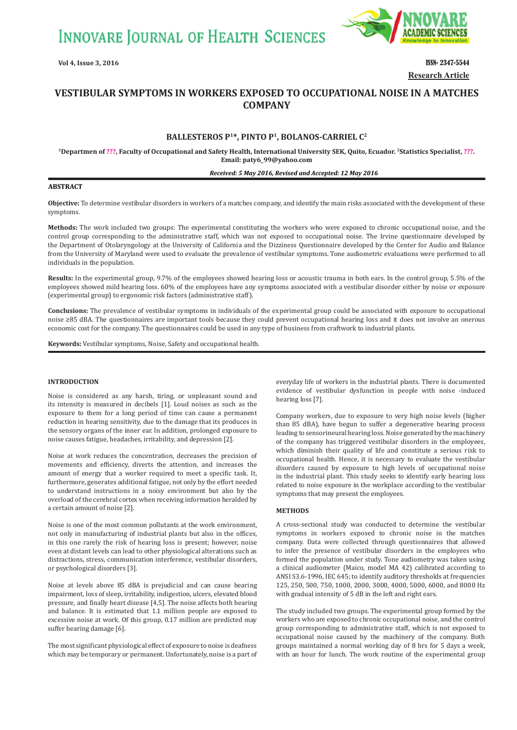**INNOVARE JOURNAL OF HEALTH SCIENCES** 



**Vol 4, Issue 3, 2016 ISSN- 2347-5544 Research Article**

# **VESTIBULAR SYMPTOMS IN WORKERS EXPOSED TO OCCUPATIONAL NOISE IN A MATCHES COMPANY**

## **BALLESTEROS P1\*, PINTO P1, BOLANOS-CARRIEL C2**

**1Departmen of ???, Faculty of Occupational and Safety Health, International University SEK, Quito, Ecuador. 2Statistics Specialist, ???. Email: paty6\_99@yahoo.com**

#### *Received: 5 May 2016, Revised and Accepted: 12 May 2016*

#### **ABSTRACT**

 **Objective:** To determine vestibular disorders in workers of a matches company, and identify the main risks associated with the development of these symptoms.

**Methods:** The work included two groups: The experimental constituting the workers who were exposed to chronic occupational noise, and the control group corresponding to the administrative staff, which was not exposed to occupational noise. The Irvine questionnaire developed by the Department of Otolaryngology at the University of California and the Dizziness Questionnaire developed by the Center for Audio and Balance from the University of Maryland were used to evaluate the prevalence of vestibular symptoms. Tone audiometric evaluations were performed to all individuals in the population.

**Results:** In the experimental group, 9.7% of the employees showed hearing loss or acoustic trauma in both ears. In the control group, 5.5% of the employees showed mild hearing loss. 60% of the employees have any symptoms associated with a vestibular disorder either by noise or exposure (experimental group) to ergonomic risk factors (administrative staff).

**Conclusions:** The prevalence of vestibular symptoms in individuals of the experimental group could be associated with exposure to occupational noise ≥85 dBA. The questionnaires are important tools because they could prevent occupational hearing loss and it does not involve an onerous economic cost for the company. The questionnaires could be used in any type of business from craftwork to industrial plants.

**Keywords:** Vestibular symptoms, Noise, Safety and occupational health.

#### **INTRODUCTION**

Noise is considered as any harsh, tiring, or unpleasant sound and its intensity is measured in decibels [1]. Loud noises as such as the exposure to them for a long period of time can cause a permanent reduction in hearing sensitivity, due to the damage that its produces in the sensory organs of the inner ear. In addition, prolonged exposure to noise causes fatigue, headaches, irritability, and depression [2].

Noise at work reduces the concentration, decreases the precision of movements and efficiency, diverts the attention, and increases the amount of energy that a worker required to meet a specific task. It, furthermore, generates additional fatigue, not only by the effort needed to understand instructions in a noisy environment but also by the overload of the cerebral cortex when receiving information heralded by a certain amount of noise [2].

Noise is one of the most common pollutants at the work environment, not only in manufacturing of industrial plants but also in the offices, in this one rarely the risk of hearing loss is present; however, noise even at distant levels can lead to other physiological alterations such as distractions, stress, communication interference, vestibular disorders, or psychological disorders [3].

Noise at levels above 85 dBA is prejudicial and can cause hearing impairment, loss of sleep, irritability, indigestion, ulcers, elevated blood pressure, and finally heart disease [4,5]. The noise affects both hearing and balance. It is estimated that 1.1 million people are exposed to excessive noise at work. Of this group, 0.17 million are predicted may suffer hearing damage [6].

The most significant physiological effect of exposure to noise is deafness which may be temporary or permanent. Unfortunately, noise is a part of

everyday life of workers in the industrial plants. There is documented evidence of vestibular dysfunction in people with noise -induced hearing loss [7].

Company workers, due to exposure to very high noise levels (higher than 85 dBA), have begun to suffer a degenerative hearing process leading to sensorineural hearing loss. Noise generated by the machinery of the company has triggered vestibular disorders in the employees, which diminish their quality of life and constitute a serious risk to occupational health. Hence, it is necessary to evaluate the vestibular disorders caused by exposure to high levels of occupational noise in the industrial plant. This study seeks to identify early hearing loss related to noise exposure in the workplace according to the vestibular symptoms that may present the employees.

### **METHODS**

A cross-sectional study was conducted to determine the vestibular symptoms in workers exposed to chronic noise in the matches company. Data were collected through questionnaires that allowed to infer the presence of vestibular disorders in the employees who formed the population under study. Tone audiometry was taken using a clinical audiometer (Maico, model MA 42) calibrated according to ANSI S3.6-1996, IEC 645; to identify auditory thresholds at frequencies 125, 250, 500, 750, 1000, 2000, 3000, 4000, 5000, 6000, and 8000 Hz with gradual intensity of 5 dB in the left and right ears.

The study included two groups. The experimental group formed by the workers who are exposed to chronic occupational noise, and the control group corresponding to administrative staff, which is not exposed to occupational noise caused by the machinery of the company. Both groups maintained a normal working day of 8 hrs for 5 days a week, with an hour for lunch. The work routine of the experimental group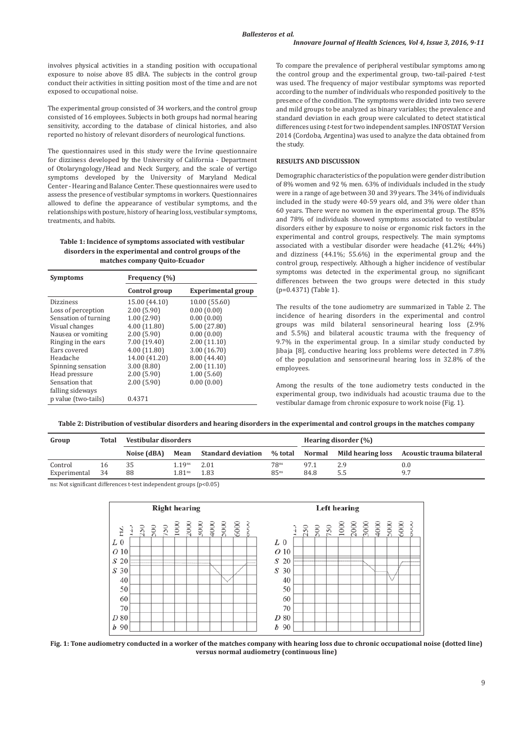involves physical activities in a standing position with occupational exposure to noise above 85 dBA. The subjects in the control group conduct their activities in sitting position most of the time and are not exposed to occupational noise.

The experimental group consisted of 34 workers, and the control group consisted of 16 employees. Subjects in both groups had normal hearing sensitivity, according to the database of clinical histories, and also reported no history of relevant disorders of neurological functions.

The questionnaires used in this study were the Irvine questionnaire for dizziness developed by the University of California - Department of Otolaryngology/Head and Neck Surgery, and the scale of vertigo symptoms developed by the University of Maryland Medical Center - Hearing and Balance Center. These questionnaires were used to assess the presence of vestibular symptoms in workers. Questionnaires allowed to define the appearance of vestibular symptoms, and the relationships with posture, history of hearing loss, vestibular symptoms, treatments, and habits.

## **Table 1: Incidence of symptoms associated with vestibular disorders in the experimental and control groups of the matches company Quito-Ecuador**

| <b>Symptoms</b>      | Frequency (%) |                           |  |  |  |  |
|----------------------|---------------|---------------------------|--|--|--|--|
|                      | Control group | <b>Experimental group</b> |  |  |  |  |
| <b>Dizziness</b>     | 15.00 (44.10) | 10.00 (55.60)             |  |  |  |  |
| Loss of perception   | 2.00(5.90)    | 0.00(0.00)                |  |  |  |  |
| Sensation of turning | 1.00(2.90)    | 0.00(0.00)                |  |  |  |  |
| Visual changes       | 4.00 (11.80)  | 5.00 (27.80)              |  |  |  |  |
| Nausea or vomiting   | 2.00(5.90)    | 0.00(0.00)                |  |  |  |  |
| Ringing in the ears  | 7.00 (19.40)  | 2.00(11.10)               |  |  |  |  |
| Ears covered         | 4.00 (11.80)  | 3.00 (16.70)              |  |  |  |  |
| Headache             | 14.00 (41.20) | 8.00 (44.40)              |  |  |  |  |
| Spinning sensation   | 3.00(8.80)    | 2.00(11.10)               |  |  |  |  |
| Head pressure        | 2.00(5.90)    | 1.00(5.60)                |  |  |  |  |
| Sensation that       | 2.00(5.90)    | 0.00(0.00)                |  |  |  |  |
| falling sideways     |               |                           |  |  |  |  |
| p value (two-tails)  | 0.4371        |                           |  |  |  |  |

To compare the prevalence of peripheral vestibular symptoms among the control group and the experimental group, two-tail-paired *t*-test was used. The frequency of major vestibular symptoms was reported according to the number of individuals who responded positively to the presence of the condition. The symptoms were divided into two severe and mild groups to be analyzed as binary variables; the prevalence and standard deviation in each group were calculated to detect statistical differences using *t*-test for two independent samples. INFOSTAT Version 2014 (Cordoba, Argentina) was used to analyze the data obtained from the study.

## **RESULTS AND DISCUSSION**

Demographic characteristics of the population were gender distribution of 8% women and 92 % men. 63% of individuals included in the study were in a range of age between 30 and 39 years. The 34% of individuals included in the study were 40-59 years old, and 3% were older than 60 years. There were no women in the experimental group. The 85% and 78% of individuals showed symptoms associated to vestibular disorders either by exposure to noise or ergonomic risk factors in the experimental and control groups, respectively. The main symptoms associated with a vestibular disorder were headache (41.2%; 44%) and dizziness (44.1%; 55.6%) in the experimental group and the control group, respectively. Although a higher incidence of vestibular symptoms was detected in the experimental group, no significant differences between the two groups were detected in this study (p=0.4371) (Table 1).

The results of the tone audiometry are summarized in Table 2. The incidence of hearing disorders in the experimental and control groups was mild bilateral sensorineural hearing loss (2.9% and 5.5%) and bilateral acoustic trauma with the frequency of 9.7% in the experimental group. In a similar study conducted by Jibaja [8], conductive hearing loss problems were detected in 7.8% of the population and sensorineural hearing loss in 32.8% of the employees.

Among the results of the tone audiometry tests conducted in the experimental group, two individuals had acoustic trauma due to the vestibular damage from chronic exposure to work noise (Fig. 1).

**Table 2: Distribution of vestibular disorders and hearing disorders in the experimental and control groups in the matches company**

| Group           | Total | Vestibular disorders |                    |       | Hearing disorder $(\% )$ |      |     |                                                                               |
|-----------------|-------|----------------------|--------------------|-------|--------------------------|------|-----|-------------------------------------------------------------------------------|
|                 |       | Noise (dBA)          | Mean               |       |                          |      |     | Standard deviation % total Normal Mild hearing loss Acoustic trauma bilateral |
| Control         | 16    | 35                   | 1.19 <sup>ns</sup> | -2.01 | 78 <sup>ns</sup>         | 97.1 | 2.9 | 0.0                                                                           |
| Experimental 34 |       | 88                   | 1.81 <sup>ns</sup> | 1.83  | 85 <sup>ns</sup>         | 84.8 | 5.5 | 9.7                                                                           |
|                 |       |                      |                    | .     |                          |      |     |                                                                               |

ns: Not significant differences t-test independent groups (p<0.05)



**Fig. 1: Tone audiometry conducted in a worker of the matches company with hearing loss due to chronic occupational noise (dotted line) versus normal audiometry (continuous line)**